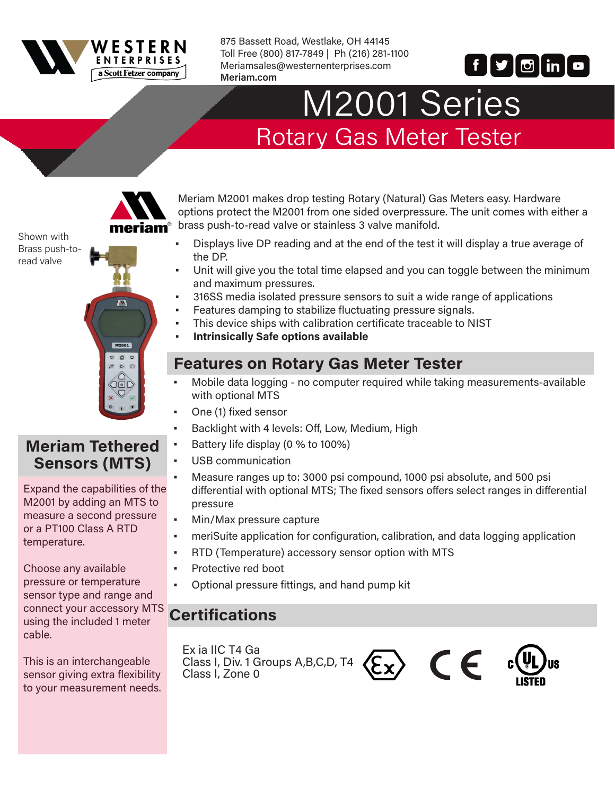

875 Bassett Road, Westlake, OH 44145 Toll Free (800) 817-7849 | Ph (216) 281-1100 [Meriamsales@westernenterprises.com](mailto:Meriamsales%40westernenterprises.com%20?subject=Data%20Sheet%20Web%20Lead%20) **Meria[m.com](http://Westernenterprises.com )** 



# M2001 Series Rotary Gas Meter Tester



Shown with Brass push-toread valve



#### **Meriam Tethered Sensors (MTS)**

Expand the capabilities of the M2001 by adding an MTS to measure a second pressure or a PT100 Class A RTD temperature.

Choose any available pressure or temperature sensor type and range and connect your accessory MTS using the included 1 meter cable.

This is an interchangeable sensor giving extra flexibility to your measurement needs.

Meriam M2001 makes drop testing Rotary (Natural) Gas Meters easy. Hardware options protect the M2001 from one sided overpressure. The unit comes with either a brass push-to-read valve or stainless 3 valve manifold.

- Displays live DP reading and at the end of the test it will display a true average of the DP.
- Unit will give you the total time elapsed and you can toggle between the minimum and maximum pressures.
- 316SS media isolated pressure sensors to suit a wide range of applications
- Features damping to stabilize fluctuating pressure signals.
- This device ships with calibration certificate traceable to NIST
- **Intrinsically Safe options available**

## **Features on Rotary Gas Meter Tester**

- Mobile data logging no computer required while taking measurements-available with optional MTS
- One (1) fixed sensor
- Backlight with 4 levels: Off, Low, Medium, High
- Battery life display (0 % to 100%)
- USB communication
- Measure ranges up to: 3000 psi compound, 1000 psi absolute, and 500 psi differential with optional MTS; The fixed sensors offers select ranges in differential pressure
- Min/Max pressure capture
- **•** meriSuite application for configuration, calibration, and data logging application
- RTD (Temperature) accessory sensor option with MTS
- Protective red boot
- Optional pressure fittings, and hand pump kit

### **Certifications**

Ex ia IIC T4 Ga Class I, Div. 1 Groups A,B,C,D, T4 Class I, Zone 0

 $\langle \epsilon_{x} \rangle$  (E)